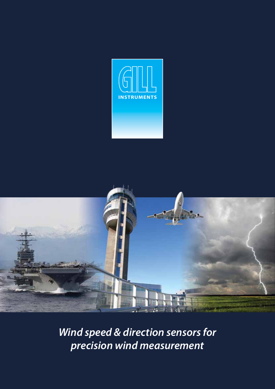



*Wind speed & direction sensors for precision wind measurement*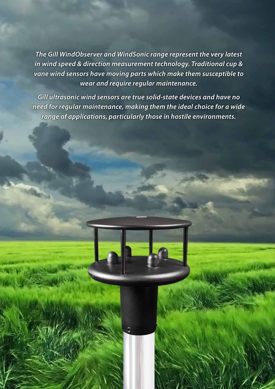*The Gill WindObserver and WindSonic range represent the very latest in wind speed & direction measurement technology. Traditional cup & vane wind sensors have moving parts which make them susceptible to wear and require regular maintenance.* 

*Gill ultrasonic wind sensors are true solid-state devices and have no need for regular maintenance, making them the ideal choice for a wide range of applications, particularly those in hostile environments.*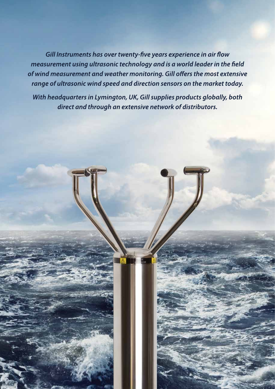*Gill Instruments has over twenty-five years experience in air flow measurement using ultrasonic technology and is a world leader in the field of wind measurement and weather monitoring. Gill offers the most extensive range of ultrasonic wind speed and direction sensors on the market today.* 

*With headquarters in Lymington, UK, Gill supplies products globally, both direct and through an extensive network of distributors.*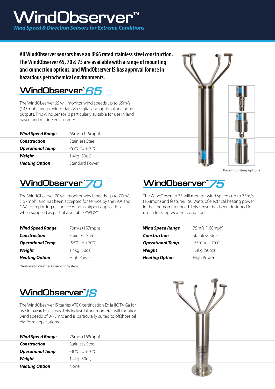# WindObserver *Wind Speed & Direction Sensors for Extreme Conditions*

**All WindObserver sensors have an IP66 rated stainless steel construction. The WindObserver 65, 70 & 75 are available with a range of mounting and connection options, and WindObserver IS has approval for use in hazardous petrochemical environments.**

#### WindObserver<sup>"</sup>65

The WindObserver 65 will monitor wind speeds up to 65m/s (145mph) and provides data via digital and optional analogue outputs. This wind sensor is particularly suitable for use in land based and marine environments.

| <b>Wind Speed Range</b> | 65m/s (145mph)                     |
|-------------------------|------------------------------------|
| Construction            | Stainless Steel                    |
| <b>Operational Temp</b> | $-55^{\circ}$ C to $+70^{\circ}$ C |
| Weight                  | 1.4kg (50oz)                       |
| <b>Heating Option</b>   | Standard Power                     |



**Base mounting options**

# WindObserver<sup>"</sup>70

The WindObserver 70 will monitor wind speeds up to 70m/s (157mph) and has been accepted for service by the FAA and CAA for reporting of surface wind in airport applications when supplied as part of a suitable AWOS\*.

# WindObserver<sup>"</sup>75

The WindObserver 75 will monitor wind speeds up to 75m/s (168mph) and features 150 Watts of electrical heating power in the anemometer head. This sensor has been designed for use in freezing weather conditions.

| <b>Wind Speed Range</b> | 70m/s (157mph)  | <b>Wind Speed Range</b> | 75m/s (168mph)                     |
|-------------------------|-----------------|-------------------------|------------------------------------|
| <b>Construction</b>     | Stainless Steel | Construction            | Stainless Steel                    |
| <b>Operational Temp</b> | -55°C to +70°C  | <b>Operational Temp</b> | $-55^{\circ}$ C to $+70^{\circ}$ C |
| Weight                  | 1.4kg (50oz)    | Weight                  | 1.4kg (50oz)                       |
| <b>Heating Option</b>   | High Power      | <b>Heating Option</b>   | High Power                         |

\*Automatic Weather Observing System.



The WindObserver IS carries ATEX certification Ex ia IIC T4 Ga for use in hazardous areas. This industrial anemometer will monitor wind speeds of 0-75m/s and is particularly suited to offshore oil platform applications.

| <b>Wind Speed Range</b> | 75m/s (168mph)                     |
|-------------------------|------------------------------------|
| Construction            | Stainless Steel                    |
| <b>Operational Temp</b> | $-30^{\circ}$ C to $+70^{\circ}$ C |
| Weight                  | 1.4kg (50oz)                       |
| <b>Heating Option</b>   | None                               |

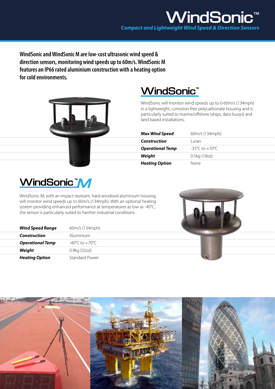**WindSonic and WindSonic M are low-cost ultrasonic wind speed & direction sensors, monitoring wind speeds up to 60m/s. WindSonic M features an IP66 rated aluminium construction with a heating option for cold environments.**



# **WindSonic**<sup>®</sup>

WindSonic will monitor wind speeds up to 0-60m/s (134mph) in a lightweight, corrosion-free polycarbonate housing and is particularly suited to marine/offshore (ships, data buoys) and land based installations..

| <b>Max Wind Speed</b>   | 60m/s (134mph)                     |
|-------------------------|------------------------------------|
| Construction            | Luran                              |
| <b>Operational Temp</b> | $-35^{\circ}$ C to $+70^{\circ}$ C |
| Weight                  | 0.5kg (18oz)                       |
| <b>Heating Option</b>   | None                               |



*Wind Speed Range* 60m/s (134mph) *Construction* Aluminium **Operational Temp**  $-40^{\circ}$ C to  $+70^{\circ}$ C **Weight** 0.9kg (32oz) **Heating Option** Standard Power

WindSonic M, with an impact resistant, hard-anodised aluminium housing, will monitor wind speeds up to 60m/s (134mph). With an optional heating system providing enhanced performance at temperatures as low as -40°C, the sensor is particularly suited to harsher industrial conditions .